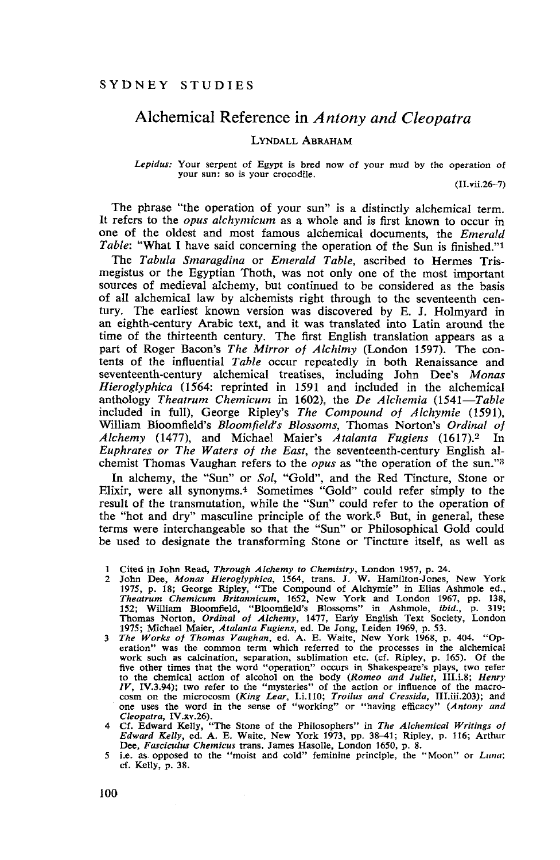# Alchemical Reference in *Antony and Cleopatra*

## LYNDALL ABRAHAM

*Lepidus:* Your serpent of Egypt is bred now of your mud by the operation of **your sun: so is your crocodile.**

(II.vii.26-7)

The phrase "the operation of your sun" is a distinctly alchemical term. It refers to the *opus alchymicum* as a whole and is first known to occur in one of the oldest and most famous alchemical documents, the *Emerald Table:* "What I have said concerning the operation of the Sun is finished."1

The *Tabula Smaragdina* or *Emerald Table,* ascribed to Hermes Trismegistus or the Egyptian Thoth, was not only one of the most important sources of medieval alchemy, but continued to be considered as the basis of alI alchemical law by alchemists right through to the seventeenth century. The earliest known version was discovered by E. J. Holmyard in an eighth-century Arabic text, and it was translated into Latin around the time of the thirteenth century. The first English translation appears as a part of Roger Bacon's *The Mirror of Alchimy* (London 1597). The contents of the influential *Table* occur repeatedly in both Renaissance and seventeenth-century alchemical treatises, including John Dee's *Monas Hieroglyphica* (1564: reprinted in 1591 and included in the alchemical anthology *Theatrum Chemicum* in 1602), the *De Alchemia (1541-Table* included in full), George Ripley's *The Compound of Alchymie (1591),* William Bloomfield's *Bloomfield's Blossoms,* Thomas Norton's *Ordinal of Alchemy* (1477), and Michael Maier's *Atalanta Fugiens* (1617).2 In *Euphrates or The Waters of the East,* the seventeenth-century English alchemist Thomas Vaughan refers to the *opus* as "the operation of the sun."3

In alchemy, the "Sun" or *Sol,* "Gold", and the Red Tincture, Stone or Elixir, were all synonyms.4 Sometimes "Gold" could refer simply to the result of the transmutation, while the "Sun" could refer to the operation of the "hot and dry" masculine principle of the work.<sup>5</sup> But, in general, these terms were interchangeable so that the "Sun" or Philosophical Gold could be used to designate the transforming Stone or Tincture itself, as well as

- 1 Cited in John Read, *Through Alchemy to Chemistry*, London 1957, p. 24.<br>2 John Dee, *Monas Hieroglyphica*, 1564, trans. J. W. Hamilton-Jones, New York<br>1975, p. 18; George Ripley, "The Compound of Alchymie" in Elias Ashmo Theatrum Chemicum Britannicum, 1652, New York and London 1967, pp. 138, 152; William Bloomfield, "Bloomfield's Blossoms" in Ashmole, *ibid.*, p. 319;<br>Thomas Norton, *Ordinal of Alchemy*, 1477, Early English Text Society, L
- 1975; Michael Maier, *Atalanta Fugiens*, ed. De Jong, Leiden 1969, p. 53.<br>3 The Works of Thomas Vaughan, ed. A. E. Waite, New York 1968, p. 404. "Operation" was the common term which referred to the processes in the alchem five other times that the word "operation" occurs in Shakespeare's plays, two refer to the chemical action of alcohol on the body (Romeo and Juliet, III.1.8; Henry  $IV$ , IV.3.94); two refer to the "mysteries" of the action or influence of the macrocosm on the microcosm (*King Lear*, I.i.110; *Troilus and Cressida*, III.iii.203); and one uses the word in the sense of "working" or "having efficacy" (*Antony and Cleopatra*, IV.xv.26).<br>*A Cleopatra*, IV.xv.26).<br>*A* Cf.
- Dee, *Fasciculus Chemicus* trans. James HasoIIe, London 1650, p. 8.
- **5 Le.** as· **opposed to the "moist and cold" feminine principle, the "Moon" or** *Luna;* cf. Kelly, p. 38.

100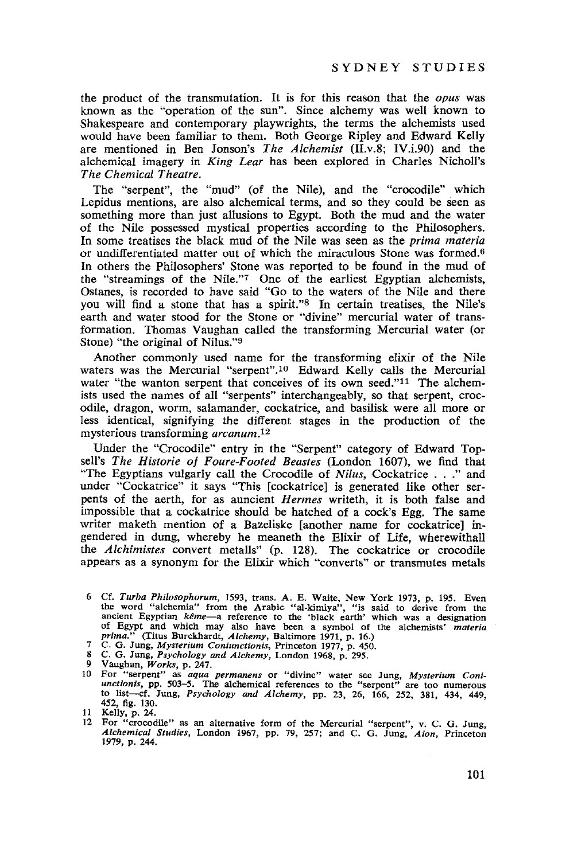the product of the transmutation. It is for this reason that the *opus* was known as the "operation of the sun". Since alchemy was well known to Shakespeare and contemporary playwrights, the terms the alchemists used would have been familiar to them. Both George Ripley and Edward Kelly are mentioned in Ben Jonson's *The Alchemist* (II.v.8; IV.i.90) and the alchemical imagery in *King Lear* has been explored in Charles Nicholl's *The Chemical Theatre.*

The "serpent", the "mud" (of the Nile), and the "crocodile" which Lepidus mentions, are also alchemical terms, and so they could be seen as something more than just allusions to Egypt. Both the mud and the water of the Nile possessed mystical properties according to the Philosophers. In some treatises the black mud of the Nile was seen as the *prima materia* or undifferentiated matter out of which the miraculous Stone was formed. <sup>6</sup> In others the Philosophers' Stone was reported to be found in the mud of the "streamings of the Nile."7 One of the earliest Egyptian alchemists, Ostanes, is recorded to have said "Go to the waters of the Nile and there you will find a stone that has a spirit."8 In certain treatises, the Nile's earth and water stood for the Stone or "divine" mercurial water of transformation. Thomas Vaughan called the transforming Mercurial water (or Stone) "the original of Nilus."9

Another commonly used name for the transforming elixir of the Nile waters was the Mercurial "serpent".<sup>10</sup> Edward Kelly calls the Mercurial water "the wanton serpent that conceives of its own seed."<sup>11</sup> The alchemists used the names of all "serpents" interchangeably, so that serpent, crocodile, dragon, worm, salamander, cockatrice, and basilisk were all more or less identical, signifying the different stages in the production of the mysterious transforming *arcanum.12*

Under the "Crocodile" entry in the "Serpent" category of Edward Topsell's *The Historie of Faure-Footed Beastes* (London 1607), we find that "The Egyptians vulgarly call the Crocodile of *Nilus,* Cockatrice .. ." and under "Cockatrice" it says "This [cockatrice] is generated like other serpents of the aerth, for as auncient *Hermes* writeth, it is both false and impossible that a cockatrice should be hatched of a cock's Egg. The same writer maketh mention of a Bazeliske [another name for cockatrice] ingendered in dung, whereby he meaneth the Elixir of Life, wherewithall the *Alchimistes* convert metalls" (p. 128). The cockatrice or crocodile appears as a synonym for the Elixir which "converts" or transmutes metals

<sup>6</sup> Cf. Turba Philosophorum, 1593, trans. A. E. Waite, New York 1973, p. 195. Even the word "alchemia" from the Arabic "al-kimiya", "is said to derive from the nucleat ancient Egyptian  $k\theta m^2 - \alpha$  reference to the 'black ea of Egypt and which may also have been <sup>a</sup> symbol of the alchemists' *materia prima."* (Titus Burckhardt, *Alchemy,* Baltimore 1971, p. 16.)

<sup>7</sup> C. G. Jung, *Mysterium Coniunctionis,* Princeton 1977, p. 450.

<sup>8</sup> C. G. Jung, *Psychology and Alchemy,* London 1968, p. 295.

<sup>9</sup> Vaughan, *Works,* p. 247.

<sup>10</sup> For "serpent" as *aqua permanens* or "divine" water see Jung, Mysterium Coni-<br>unctionis, pp. 503-5. The alchemical references to the "serpent" are too numerous to list-cf. Jung, *Psychology and Alchemy,* pp. 23, 26, 166, 252, 381, 434, 449, 452, fig. 130.

<sup>11</sup> KelIy, p. 24. **12 For "crocodile" as an alternative form of the Mercurial "serpent", v. C. G. Jung,** *Alchemical Studies,* London 1967, pp. 79, 257; and C. G. Jung, *Aion,* Princeton 1979, p. 244.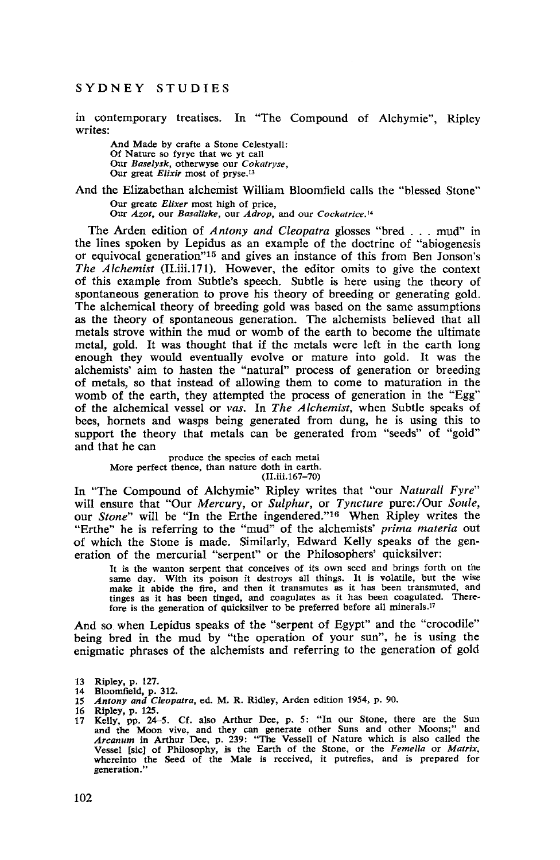#### SYDNEY STUDIES

in contemporary treatises. **In** "The Compound of Alchymie", Ripley writes:

And Made by crafte a Stone Celestyall: Of Nature so fyrye that we yt call Our *Baselysk,* otherwyse our *Cokatryse,* Our great *Elixir* most of pryse.l3

## And the Elizabethan alchemist William Bloomfield calls the "blessed Stone" Our greate *Elixer* most high of price,

**Our** *Azot,* **our** *Basaliske,* **our** *Adrop,* **and our** *Cockatrice.* **<sup>14</sup>**

The Arden edition of *Antony and Cleopatra* glosses "bred ... mud" in the lines spoken by Lepidus as an example of the doctrine of "abiogenesis or equivocal generation"15 and gives an instance of this from Ben Jonson's *The Alchemist* (ILiii.171). However, the editor omits to give the context of this example from Subtle's speech. Subtle is here using the theory of spontaneous generation to prove his theory of breeding or generating gold. The alchemical theory of breeding gold was based on the same assumptions as the theory of spontaneous generation. The alchemists believed that all metals strove within the mud or womb of the earth to become the ultimate metal, gold. It was thought that if the metals were left in the earth long enough they would eventually evolve or mature into gold. It was the alchemists' aim to hasten the "natural" process of generation or breeding of metals, so that instead of allowing them to come to maturation in the womb of the earth, they attempted the process of generation in the "Egg" of the alchemical vessel or *vas.* **In** *The Alchemist,* when Subtle speaks of bees, hornets and wasps being generated from dung, he is using this to support the theory that metals can be generated from "seeds" of "gold" and that he can

produce the species of each metal More perfect thence, than nature doth in earth. (II.iii.167-70)

In "The Compound of Alchymie" Ripley writes that "our *Naturall Fyre"* will ensure that "Our *Mercury,* or *Sulphur,* or *Tyncture* pure:/Our *Soule,* our *Stone"* will be "In the Erthe ingendered."16 When Ripley writes the "Erthe" he is referring to the "mud" of the alchemists' *prima materia* out of which the Stone is made. Similarly, Edward Kelly speaks of the generation of the mercurial "serpent" or the Philosophers' quicksilver:

It is the wanton serpent that conceives of its own seed and brings forth on the same day. With its poison it destroys all things. It is volatile, but the wise make it abide the fire, and then it transmutes as it has been transmuted, and tinges as it has been tinged, and coagulates as it has been coagulated. Therefore is the generation of quicksilver to be preferred before all minerals."

And so when Lepidus speaks of the "serpent of Egypt" and the "crocodile" being bred in the mud by "the operation of your sun", he is using the enigmatic phrases of the alchemists and referring to the generation of gold

<sup>13</sup> Ripley, p. 127.

<sup>14</sup> Bloomfield, p. 312.<br>15 Antony and Cleope *15 Antony and Cleopatra,* ed. M. R. Ridley, Arden edition 1954, p. 90.

Ripley, p. 125.

<sup>17</sup> Kelly, pp. 24-5. Cf. also Arthur Dee, p. 5: "In our Stone, there are the Sun and the Moon vive, and they can generate other Suns and other Moons;" and *Arcanum* in Arthur Dee, p. 239: "The Vessell of Nature which is also called the Vessel [sic] of Philosophy, is the Earth of the Stone, or the *Femella* or *Matrix,* whereinto the Seed of the Male is received, it putrefies, and is prepared for **generation."**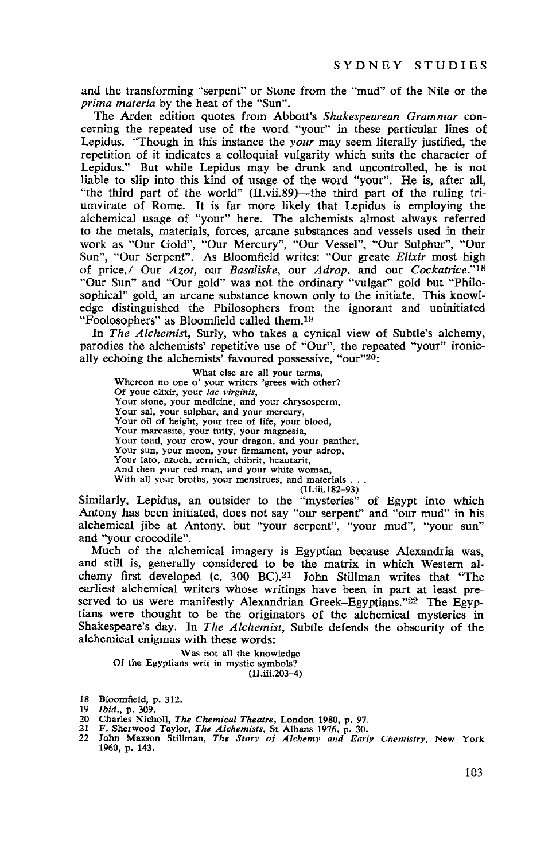and the transforming "serpent" or Stone from the "mud" of the Nile or the *prima materia* by the heat of the "Sun".

The Arden edition quotes from Abbott's *Shakespearean Grammar* concerning the repeated use of the word "your" in these particular lines of Lepidus. "Though in this instance the *your* may seem literally justified, the repetition of it indicates a colloquial vulgarity which suits the character of Lepidus." But while Lepidus may be drunk and uncontrolled, he is not liable to slip into this kind of usage of the word "your". He is, after all, "the third part of the world" (II.vii.89)—the third part of the ruling triumvirate of Rome. It is far more likely that Lepidus is employing the alchemical usage of "your" here. The alchemists almost always referred to the metals, materials, forces, arcane substances and vessels used in their work as "Our Gold", "Our Mercury", "Our Vessel", "Our Sulphur", "Our Sun", "Our Serpent". As Bloomfield writes: "Our greate *Elixir* most high of price,! Our *Azot,* our *Basaliske,* our *A drop,* and our *Cockatrice."18* "Our Sun" and "Our gold" was not the ordinary "vulgar" gold but "Philosophical" gold, an arcane substance known only to the initiate. This knowledge distinguished the Philosophers from the ignorant and uninitiated "Foolosophers" as Bloomfield called them.I<sup>9</sup>

In *The Alchemist,* Surly, who takes a cynical view of Subtle's alchemy, parodies the alchemists' repetitive use of "Our", the repeated "your" ironically echoing the alchemists' favoured possessive, "our"20:

What else are all your terms, **Whereon no one 0' your writers 'grees with other? Of your elixir, your** *lac virginis,* Your stone, your medicine, and your chrysosperm, **Your sal, your sulphur, and your mercury,** Your oil of height, your tree of life, your blood, **Your marcasite, your tutty, your magnesia,** Your sun, your moon, your firmament, your adrop, **Your lato, azoch, zernich, chibrit, heautarit,** And then your red man, and your white woman, With all your broths, your menstrues, and materials . . .

(Il.iii.182-93)

Similarly, Lepidus, an outsider to the "mysteries" of Egypt into which Antony has been initiated, does not say "our serpent" and "our mud" in his alchemical jibe at Antony, but "your serpent", "your mud", "your sun" and "your crocodile".

Much of the alchemical imagery is Egyptian because Alexandria was, and still is, generally considered to be the matrix in which Western alchemy first developed (c. 300 BC).<sup>21</sup> John Stillman writes that "The earliest alchemical writers whose writings have been in part at least preserved to us were manifestly Alexandrian Greek-Egyptians."22 The Egyptians were thought to be the originators of the alchemical mysteries in Shakespeare's day. In *The Alchemist,* Subtle defends the obscurity of the alchemical enigmas with these words:

Was not all the knowledge Of the Egyptians writ in mystic symbols? (Il.iii.203-4)

18 Bloomfield, p. 312.

- 
- 
- 20 Charles Nicholl, *The Chemical Theatre*, London 1980, p. 97.<br>21 F. Sherwood Taylor, *The Alchemists,* St Albans 1976, p. 30.<br>22 John Maxson Stillman, *The Story of Alchemy and Early Chemistry*, New York 1960, p. 143.

*<sup>19</sup> Ibid.,* p. 309.